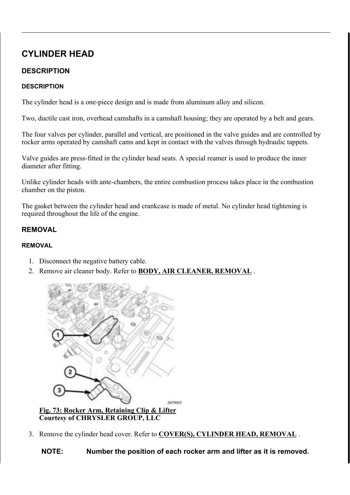# CYLINDER HEAD

# **DESCRIPTION**

### **DESCRIPTION**

The cylinder head is a one-piece design and is made from aluminum alloy and silicon.

Two, ductile cast iron, overhead camshafts in a camshaft housing; they are operated by a belt and gears.

The four valves per cylinder, parallel and vertical, are positioned in the valve guides and are controlled by rocker arms operated by camshaft cams and kept in contact with the valves through hydraulic tappets.

Valve guides are press-fitted in the cylinder head seats. A special reamer is used to produce the inner diameter after fitting.

Unlike cylinder heads with ante-chambers, the entire combustion process takes place in the combustion chamber on the piston.

The gasket between the cylinder head and crankcase is made of metal. No cylinder head tightening is required throughout the life of the engine.

# REMOVAL

### **REMOVAL**

- 1. Disconnect the negative battery cable.
- 2. Remove air cleaner body. Refer to **BODY, AIR CLEANER, REMOVAL**.



- Courtesy of CHRYSLER GROUP, LLC
- 3. Remove the cylinder head cover. Refer to **COVER(S), CYLINDER HEAD, REMOVAL**.

NOTE: Number the position of each rocker arm and lifter as it is removed.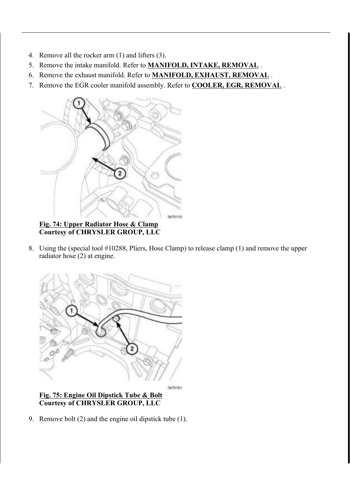- 4. Remove all the rocker arm (1) and lifters (3).
- 5. Remove the intake manifold. Refer to MANIFOLD, INTAKE, REMOVAL .
- 6. Remove the exhaust manifold. Refer to MANIFOLD, EXHAUST, REMOVAL .
- 7. Remove the EGR cooler manifold assembly. Refer to **COOLER, EGR, REMOVAL**.



### Fig. 74: Upper Radiator Hose & Clamp Courtesy of CHRYSLER GROUP, LLC

8. Using the (special tool #10288, Pliers, Hose Clamp) to release clamp (1) and remove the upper radiator hose (2) at engine.





9. Remove bolt (2) and the engine oil dipstick tube (1).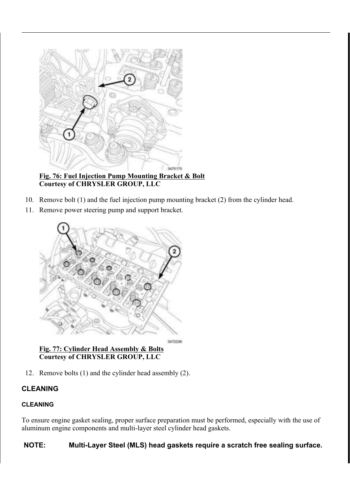

Fig. 76: Fuel Injection Pump Mounting Bracket & Bolt Courtesy of CHRYSLER GROUP, LLC

- 10. Remove bolt (1) and the fuel injection pump mounting bracket (2) from the cylinder head.
- 11. Remove power steering pump and support bracket.



3472236

### Fig. 77: Cylinder Head Assembly & Bolts Courtesy of CHRYSLER GROUP, LLC

12. Remove bolts (1) and the cylinder head assembly (2).

# CLEANING

# CLEANING

To ensure engine gasket sealing, proper surface preparation must be performed, especially with the use of aluminum engine components and multi-layer steel cylinder head gaskets.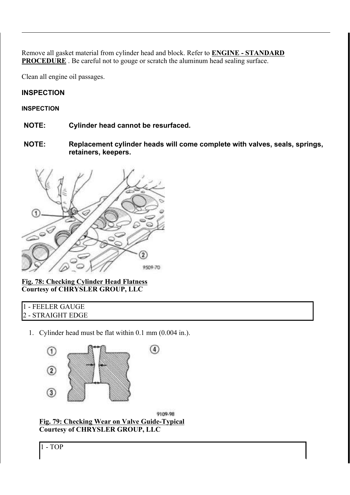Remove all gasket material from cylinder head and block. Refer to ENGINE - STANDARD PROCEDURE . Be careful not to gouge or scratch the aluminum head sealing surface.

Clean all engine oil passages.

# **INSPECTION**

**INSPECTION** 

- NOTE: Cylinder head cannot be resurfaced.
- NOTE: Replacement cylinder heads will come complete with valves, seals, springs, retainers, keepers.



Fig. 78: Checking Cylinder Head Flatness Courtesy of CHRYSLER GROUP, LLC

- 1 FEELER GAUGE 2 - STRAIGHT EDGE
	- 1. Cylinder head must be flat within 0.1 mm (0.004 in.).



9109-98 Fig. 79: Checking Wear on Valve Guide-Typical Courtesy of CHRYSLER GROUP, LLC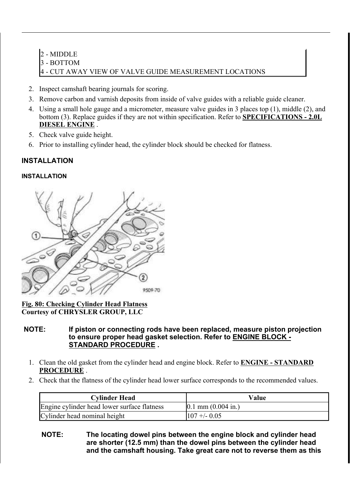- 2. Inspect camshaft bearing journals for scoring.
- 3. Remove carbon and varnish deposits from inside of valve guides with a reliable guide cleaner.
- 4. Using a small hole gauge and a micrometer, measure valve guides in 3 places top (1), middle (2), and bottom (3). Replace guides if they are not within specification. Refer to SPECIFICATIONS - 2.0L DIESEL ENGINE .
- 5. Check valve guide height.
- 6. Prior to installing cylinder head, the cylinder block should be checked for flatness.

# INSTAL LATION

### INSTALLATION



Fig. 80: Checking Cylinder Head Flatness Courtesy of CHRYSLER GROUP, LLC

- NOTE: If piston or connecting rods have been replaced, measure piston projection to ensure proper head gasket selection. Refer to ENGINE BLOCK - STANDARD PROCEDURE .
	- 1. Clean the old gasket from the cylinder head and engine block. Refer to ENGINE STANDARD PROCEDURE .
	- 2. Check that the flatness of the cylinder head lower surface corresponds to the recommended values.

| <b>Cylinder Head</b>                        | Value                                   |
|---------------------------------------------|-----------------------------------------|
| Engine cylinder head lower surface flatness | $[0.1 \text{ mm } (0.004 \text{ in.})]$ |
| Cylinder head nominal height                | $107 + -0.05$                           |

NOTE: The locating dowel pins between the engine block and cylinder head are shorter (12.5 mm) than the dowel pins between the cylinder head and the camshaft housing. Take great care not to reverse them as this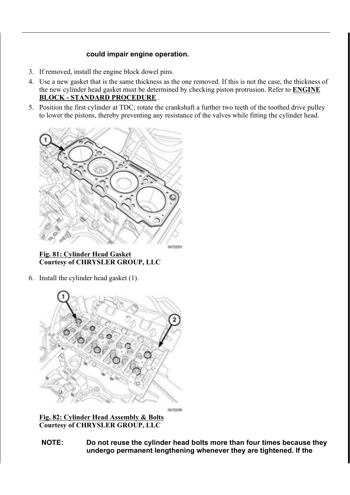# could impair engine operation.

- 3. If removed, install the engine block dowel pins.
- 4. Use a new gasket that is the same thickness as the one removed. If this is not the case, the thickness of the new cylinder head gasket must be determined by checking piston protrusion. Refer to ENGINE BLOCK - STANDARD PROCEDURE .
- 5. Position the first cylinder at TDC; rotate the crankshaft a further two teeth of the toothed drive pulley to lower the pistons, thereby preventing any resistance of the valves while fitting the cylinder head.



Fig. 81: Cylinder Head Gasket Courtesy of CHRYSLER GROUP, LLC

6. Install the cylinder head gasket (1).



Fig. 82: Cylinder Head Assembly & Bolts Courtesy of CHRYSLER GROUP, LLC

NOTE: Do not reuse the cylinder head bolts more than four times because they undergo permanent lengthening whenever they are tightened. If the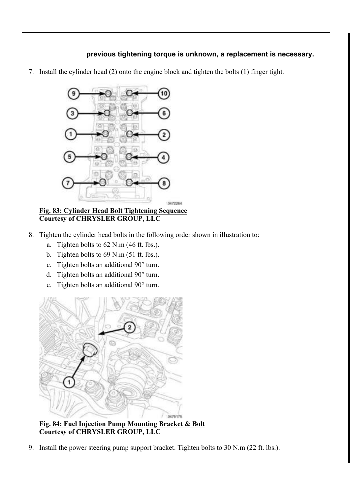### previous tightening torque is unknown, a replacement is necessary.

7. Install the cylinder head (2) onto the engine block and tighten the bolts (1) finger tight.



Fig. 83: Cylinder Head Bolt Tightening Sequence Courtesy of CHRYSLER GROUP, LLC

- 8. Tighten the cylinder head bolts in the following order shown in illustration to:
	- a. Tighten bolts to 62 N.m (46 ft. lbs.).
	- b. Tighten bolts to 69 N.m (51 ft. lbs.).
	- c. Tighten bolts an additional 90° turn.
	- d. Tighten bolts an additional 90° turn.
	- e. Tighten bolts an additional 90° turn.



Fig. 84: Fuel Injection Pump Mounting Bracket & Bolt Courtesy of CHRYSLER GROUP, LLC

9. Install the power steering pump support bracket. Tighten bolts to 30 N.m (22 ft. lbs.).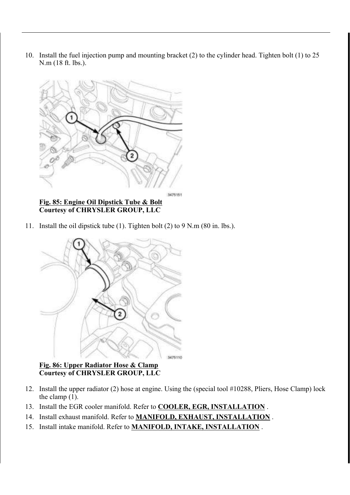10. Install the fuel injection pump and mounting bracket (2) to the cylinder head. Tighten bolt (1) to 25 N.m (18 ft. lbs.).



Fig. 85: Engine Oil Dipstick Tube & Bolt Courtesy of CHRYSLER GROUP, LLC

11. Install the oil dipstick tube (1). Tighten bolt (2) to 9 N.m (80 in. lbs.).



### Fig. 86: Upper Radiator Hose & Clamp Courtesy of CHRYSLER GROUP, LLC

- 12. Install the upper radiator (2) hose at engine. Using the (special tool #10288, Pliers, Hose Clamp) lock the clamp (1).
- 13. Install the EGR cooler manifold. Refer to COOLER, EGR, INSTALLATION .
- 14. Install exhaust manifold. Refer to **MANIFOLD, EXHAUST, INSTALLATION**.
- 15. Install intake manifold. Refer to **MANIFOLD, INTAKE, INSTALLATION**.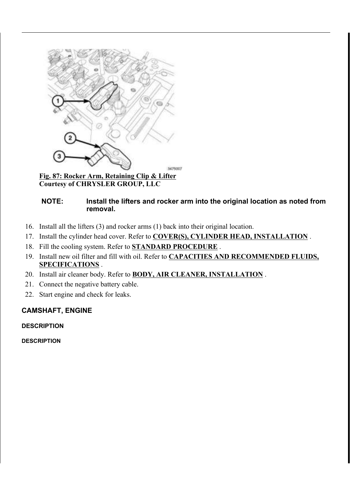

Fig. 87: Rocker Arm, Retaining Clip & Lifter Courtesy of CHRYSLER GROUP, LLC

### NOTE: Install the lifters and rocker arm into the original location as noted from removal.

- 16. Install all the lifters (3) and rocker arms (1) back into their original location.
- 17. Install the cylinder head cover. Refer to COVER(S), CYLINDER HEAD, INSTALLATION .
- 18. Fill the cooling system. Refer to **STANDARD PROCEDURE**.
- 19. Install new oil filter and fill with oil. Refer to CAPACITIES AND RECOMMENDED FLUIDS, SPECIFICATIONS .
- 20. Install air cleaner body. Refer to **BODY, AIR CLEANER, INSTALLATION**.
- 21. Connect the negative battery cable.
- 22. Start engine and check for leaks.

# CAMSHAFT, ENGINE

**DESCRIPTION** 

**DESCRIPTION**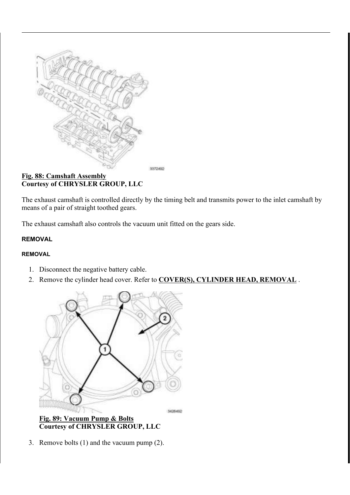

Fig. 88: Camshaft Assembly Courtesy of CHRYSLER GROUP, LLC

The exhaust camshaft is controlled directly by the timing belt and transmits power to the inlet camshaft by means of a pair of straight toothed gears.

The exhaust camshaft also controls the vacuum unit fitted on the gears side.

#### REMOVAL

#### REMOVAL

- 1. Disconnect the negative battery cable.
- 2. Remove the cylinder head cover. Refer to COVER(S), CYLINDER HEAD, REMOVAL.



Courtesy of CHRYSLER GROUP, LLC

3. Remove bolts (1) and the vacuum pump (2).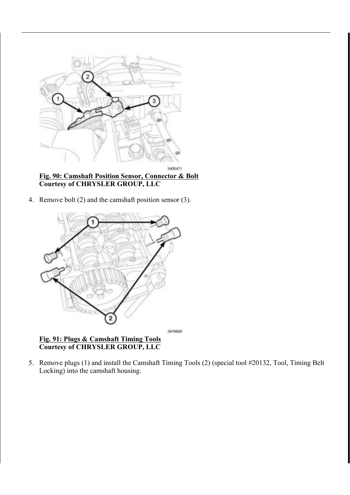

Fig. 90: Camshaft Position Sensor, Connector & Bolt Courtesy of CHRYSLER GROUP, LLC

4. Remove bolt (2) and the camshaft position sensor (3).



Fig. 91: Plugs & Camshaft Timing Tools Courtesy of CHRYSLER GROUP, LLC

5. Remove plugs (1) and install the Camshaft Timing Tools (2) (special tool #20132, Tool, Timing Belt Locking) into the camshaft housing.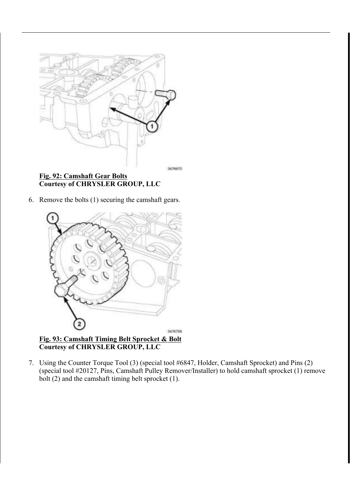

Fig. 92: Camshaft Gear Bolts Courtesy of CHRYSLER GROUP, LLC

6. Remove the bolts (1) securing the camshaft gears.



Fig. 93: Camshaft Timing Belt Sprocket & Bolt Courtesy of CHRYSLER GROUP, LLC

7. Using the Counter Torque Tool (3) (special tool #6847, Holder, Camshaft Sprocket) and Pins (2) (special tool #20127, Pins, Camshaft Pulley Remover/Installer) to hold camshaft sprocket (1) remove bolt (2) and the camshaft timing belt sprocket (1).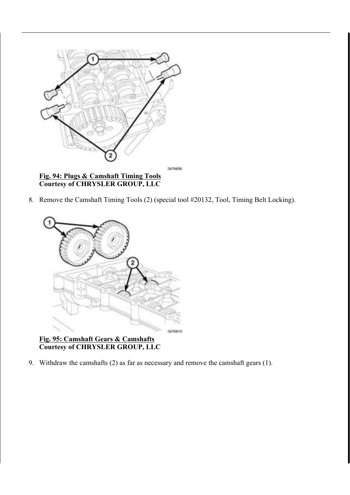

Courtesy of CHRYSLER GROUP, LLC

8. Remove the Camshaft Timing Tools (2) (special tool #20132, Tool, Timing Belt Locking).



Fig. 95: Camshaft Gears & Camshafts Courtesy of CHRYSLER GROUP, LLC

9. Withdraw the camshafts (2) as far as necessary and remove the camshaft gears (1).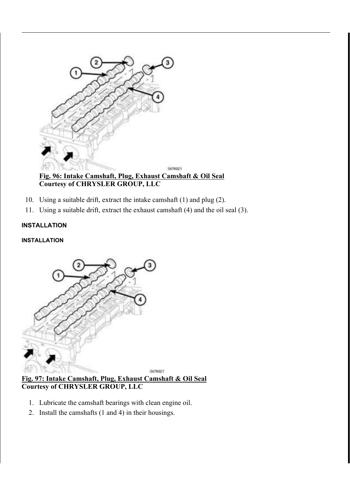

Fig. 96: Intake Camshaft, Plug, Exhaust Camshaft & Oil Seal Courtesy of CHRYSLER GROUP, LLC

- 10. Using a suitable drift, extract the intake camshaft (1) and plug (2).
- 11. Using a suitable drift, extract the exhaust camshaft (4) and the oil seal (3).

### INSTALLATION

#### INSTALLATION



Fig. 97: Intake Camshaft, Plug, Exhaust Camshaft & Oil Seal Courtesy of CHRYSLER GROUP, LLC

- 1. Lubricate the camshaft bearings with clean engine oil.
- 2. Install the camshafts (1 and 4) in their housings.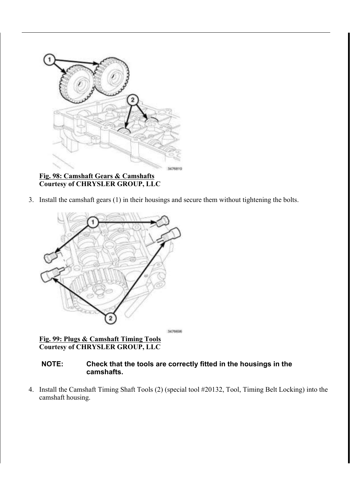![](_page_14_Picture_0.jpeg)

Fig. 98: Camshaft Gears & Camshafts Courtesy of CHRYSLER GROUP, LLC

3. Install the camshaft gears (1) in their housings and secure them without tightening the bolts.

![](_page_14_Figure_3.jpeg)

3476606

Fig. 99: Plugs & Camshaft Timing Tools Courtesy of CHRYSLER GROUP, LLC

### NOTE: Check that the tools are correctly fitted in the housings in the camshafts.

4. Install the Camshaft Timing Shaft Tools (2) (special tool #20132, Tool, Timing Belt Locking) into the camshaft housing.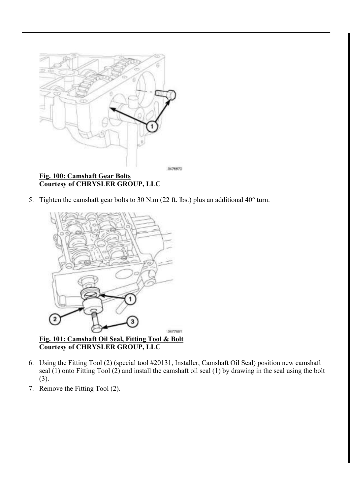![](_page_15_Figure_0.jpeg)

5. Tighten the camshaft gear bolts to 30 N.m (22 ft. lbs.) plus an additional 40° turn.

![](_page_15_Picture_2.jpeg)

Fig. 101: Camshaft Oil Seal, Fitting Tool & Bolt Courtesy of CHRYSLER GROUP, LLC

- 6. Using the Fitting Tool (2) (special tool #20131, Installer, Camshaft Oil Seal) position new camshaft seal (1) onto Fitting Tool (2) and install the camshaft oil seal (1) by drawing in the seal using the bolt (3).
- 7. Remove the Fitting Tool (2).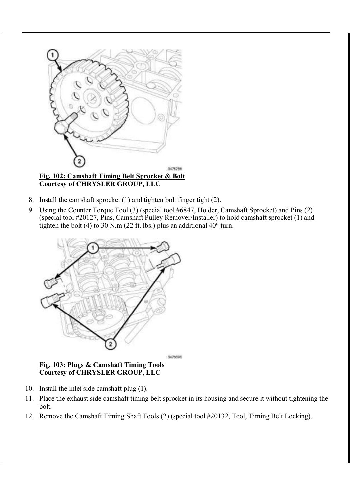![](_page_16_Picture_0.jpeg)

Fig. 102: Camshaft Timing Belt Sprocket & Bolt Courtesy of CHRYSLER GROUP, LLC

- 8. Install the camshaft sprocket (1) and tighten bolt finger tight (2).
- 9. Using the Counter Torque Tool (3) (special tool #6847, Holder, Camshaft Sprocket) and Pins (2) (special tool #20127, Pins, Camshaft Pulley Remover/Installer) to hold camshaft sprocket (1) and tighten the bolt (4) to 30 N.m (22 ft. lbs.) plus an additional  $40^{\circ}$  turn.

![](_page_16_Figure_4.jpeg)

3476606

### Fig. 103: Plugs & Camshaft Timing Tools Courtesy of CHRYSLER GROUP, LLC

- 10. Install the inlet side camshaft plug (1).
- 11. Place the exhaust side camshaft timing belt sprocket in its housing and secure it without tightening the bolt.
- 12. Remove the Camshaft Timing Shaft Tools (2) (special tool #20132, Tool, Timing Belt Locking).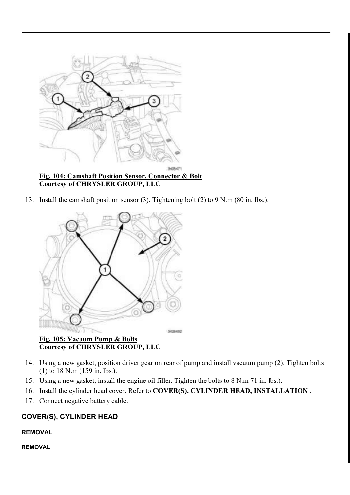![](_page_17_Figure_0.jpeg)

Fig. 104: Camshaft Position Sensor, Connector & Bolt Courtesy of CHRYSLER GROUP, LLC

13. Install the camshaft position sensor (3). Tightening bolt (2) to 9 N.m (80 in. lbs.).

![](_page_17_Figure_3.jpeg)

Fig. 105: Vacuum Pump & Bolts Courtesy of CHRYSLER GROUP, LLC

- 14. Using a new gasket, position driver gear on rear of pump and install vacuum pump (2). Tighten bolts (1) to 18 N.m (159 in. lbs.).
- 15. Using a new gasket, install the engine oil filler. Tighten the bolts to 8 N.m 71 in. lbs.).
- 16. Install the cylinder head cover. Refer to **COVER(S), CYLINDER HEAD, INSTALLATION**.
- 17. Connect negative battery cable.

# COVER(S), CYLINDER HEAD

#### REMOVAL

REMOVAL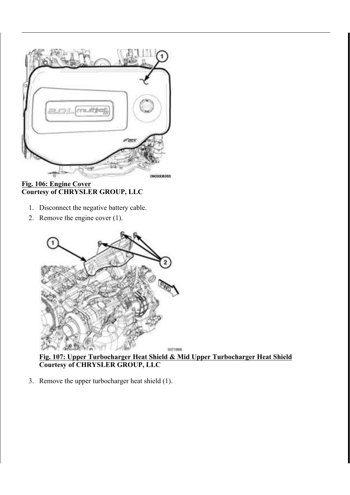![](_page_18_Picture_0.jpeg)

Fig. 106: Engine Cover Courtesy of CHRYSLER GROUP, LLC

- 1. Disconnect the negative battery cable.
- 2. Remove the engine cover (1).

![](_page_18_Picture_4.jpeg)

Fig. 107: Upper Turbocharger Heat Shield & Mid Upper Turbocharger Heat Shield Courtesy of CHRYSLER GROUP, LLC

3. Remove the upper turbocharger heat shield (1).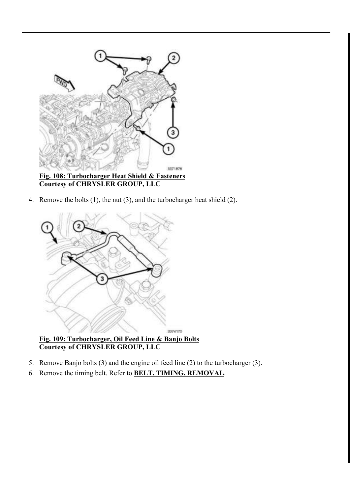![](_page_19_Figure_0.jpeg)

Fig. 108: Turbocharger Heat Shield & Fasteners Courtesy of CHRYSLER GROUP, LLC

4. Remove the bolts (1), the nut (3), and the turbocharger heat shield (2).

![](_page_19_Figure_3.jpeg)

Fig. 109: Turbocharger, Oil Feed Line & Banjo Bolts Courtesy of CHRYSLER GROUP, LLC

- 5. Remove Banjo bolts (3) and the engine oil feed line (2) to the turbocharger (3).
- 6. Remove the timing belt. Refer to BELT, TIMING, REMOVAL.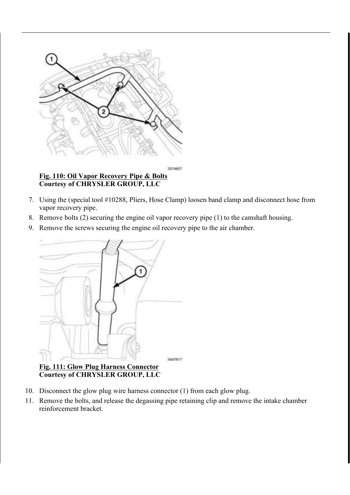![](_page_20_Figure_0.jpeg)

Fig. 110: Oil Vapor Recovery Pipe & Bolts Courtesy of CHRYSLER GROUP, LLC

- 7. Using the (special tool #10288, Pliers, Hose Clamp) loosen band clamp and disconnect hose from vapor recovery pipe.
- 8. Remove bolts (2) securing the engine oil vapor recovery pipe (1) to the camshaft housing.
- 9. Remove the screws securing the engine oil recovery pipe to the air chamber.

![](_page_20_Picture_5.jpeg)

### Fig. 111: Glow Plug Harness Connector Courtesy of CHRYSLER GROUP, LLC

- 10. Disconnect the glow plug wire harness connector (1) from each glow plug.
- 11. Remove the bolts, and release the degassing pipe retaining clip and remove the intake chamber reinforcement bracket.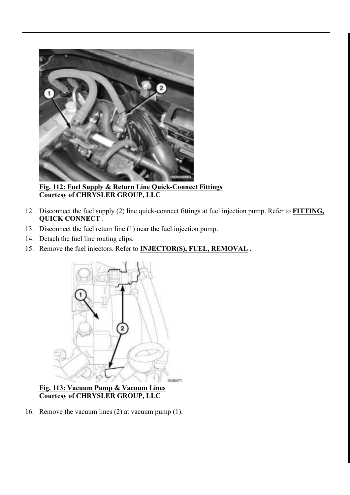![](_page_21_Picture_0.jpeg)

Fig. 112: Fuel Supply & Return Line Quick-Connect Fittings Courtesy of CHRYSLER GROUP, LLC

- 12. Disconnect the fuel supply (2) line quick-connect fittings at fuel injection pump. Refer to **FITTING**, QUICK CONNECT .
- 13. Disconnect the fuel return line (1) near the fuel injection pump.
- 14. Detach the fuel line routing clips.
- 15. Remove the fuel injectors. Refer to **INJECTOR(S), FUEL, REMOVAL**.

![](_page_21_Picture_6.jpeg)

Fig. 113: Vacuum Pump & Vacuum Lines Courtesy of CHRYSLER GROUP, LLC

16. Remove the vacuum lines (2) at vacuum pump (1).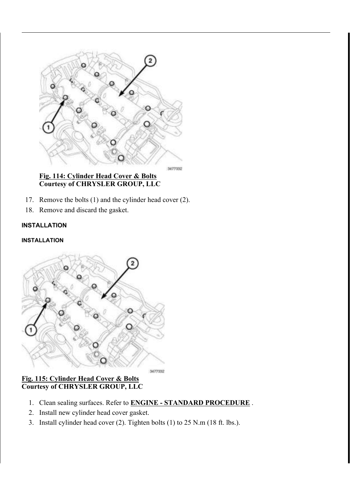![](_page_22_Figure_0.jpeg)

### Fig. 114: Cylinder Head Cover & Bolts Courtesy of CHRYSLER GROUP, LLC

- 17. Remove the bolts (1) and the cylinder head cover (2).
- 18. Remove and discard the gasket.

#### INSTALLATION

#### INSTALLATION

![](_page_22_Figure_6.jpeg)

### Fig. 115: Cylinder Head Cover & Bolts Courtesy of CHRYSLER GROUP, LLC

- 1. Clean sealing surfaces. Refer to **ENGINE STANDARD PROCEDURE**.
- 2. Install new cylinder head cover gasket.
- 3. Install cylinder head cover (2). Tighten bolts (1) to 25 N.m (18 ft. lbs.).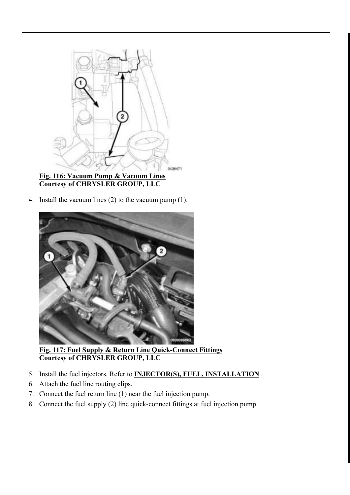![](_page_23_Picture_0.jpeg)

Fig. 116: Vacuum Pump & Vacuum Lines Courtesy of CHRYSLER GROUP, LLC

4. Install the vacuum lines (2) to the vacuum pump (1).

![](_page_23_Picture_3.jpeg)

Fig. 117: Fuel Supply & Return Line Quick-Connect Fittings Courtesy of CHRYSLER GROUP, LLC

- 5. Install the fuel injectors. Refer to **INJECTOR(S), FUEL, INSTALLATION**.
- 6. Attach the fuel line routing clips.
- 7. Connect the fuel return line (1) near the fuel injection pump.
- 8. Connect the fuel supply (2) line quick-connect fittings at fuel injection pump.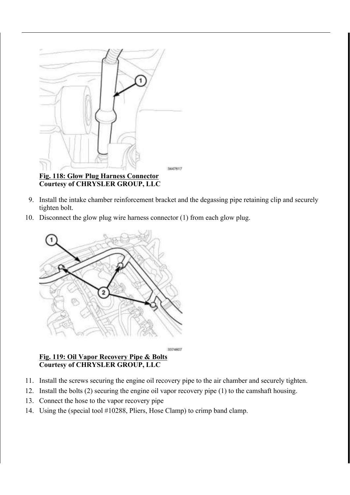![](_page_24_Figure_0.jpeg)

- 9. Install the intake chamber reinforcement bracket and the degassing pipe retaining clip and securely tighten bolt.
- 10. Disconnect the glow plug wire harness connector (1) from each glow plug.

![](_page_24_Figure_3.jpeg)

3374607

### Fig. 119: Oil Vapor Recovery Pipe & Bolts Courtesy of CHRYSLER GROUP, LLC

- 11. Install the screws securing the engine oil recovery pipe to the air chamber and securely tighten.
- 12. Install the bolts (2) securing the engine oil vapor recovery pipe (1) to the camshaft housing.
- 13. Connect the hose to the vapor recovery pipe
- 14. Using the (special tool #10288, Pliers, Hose Clamp) to crimp band clamp.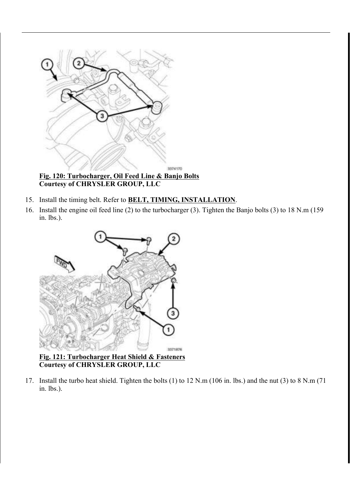![](_page_25_Figure_0.jpeg)

Fig. 120: Turbocharger, Oil Feed Line & Banjo Bolts Courtesy of CHRYSLER GROUP, LLC

- 15. Install the timing belt. Refer to **BELT, TIMING, INSTALLATION**.
- 16. Install the engine oil feed line (2) to the turbocharger (3). Tighten the Banjo bolts (3) to 18 N.m (159 in. lbs.).

![](_page_25_Figure_4.jpeg)

Fig. 121: Turbocharger Heat Shield & Fasteners Courtesy of CHRYSLER GROUP, LLC

17. Install the turbo heat shield. Tighten the bolts (1) to 12 N.m (106 in. lbs.) and the nut (3) to 8 N.m (71 in. lbs.).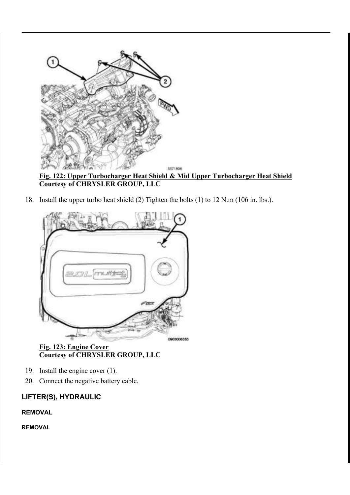![](_page_26_Figure_0.jpeg)

Fig. 122: Upper Turbocharger Heat Shield & Mid Upper Turbocharger Heat Shield Courtesy of CHRYSLER GROUP, LLC

18. Install the upper turbo heat shield (2) Tighten the bolts (1) to 12 N.m (106 in. lbs.).

![](_page_26_Picture_3.jpeg)

Fig. 123: Engine Cover Courtesy of CHRYSLER GROUP, LLC

- 19. Install the engine cover (1).
- 20. Connect the negative battery cable.

# LIFTER(S), HYDRAULIC

### REMOVAL

REMOVAL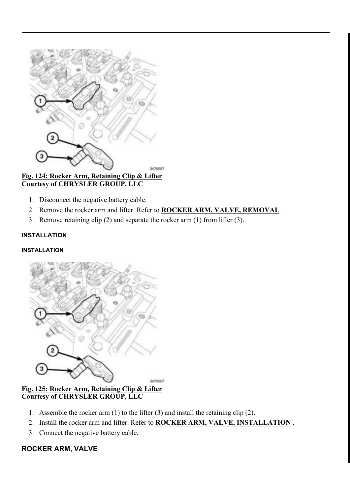![](_page_27_Figure_0.jpeg)

Fig. 124: Rocker Arm, Retaining Clip & Lifter Courtesy of CHRYSLER GROUP, LLC

- 1. Disconnect the negative battery cable.
- 2. Remove the rocker arm and lifter. Refer to **ROCKER ARM, VALVE, REMOVAL**.
- 3. Remove retaining clip (2) and separate the rocker arm (1) from lifter (3).

#### INSTALLATION

#### INSTALLATION

![](_page_27_Figure_7.jpeg)

Fig. 125: Rocker Arm, Retaining Clip & Lifter Courtesy of CHRYSLER GROUP, LLC

- 1. Assemble the rocker arm (1) to the lifter (3) and install the retaining clip (2).
- 2. Install the rocker arm and lifter. Refer to **ROCKER ARM, VALVE, INSTALLATION**.
- 3. Connect the negative battery cable.

### ROCKER ARM, VALVE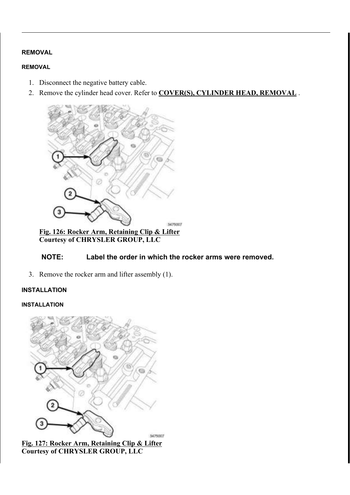#### REMOVAL

#### REMOVAL

- 1. Disconnect the negative battery cable.
- 2. Remove the cylinder head cover. Refer to COVER(S), CYLINDER HEAD, REMOVAL .

![](_page_28_Figure_4.jpeg)

Fig. 126: Rocker Arm, Retaining Clip & Lifter Courtesy of CHRYSLER GROUP, LLC

### NOTE: Label the order in which the rocker arms were removed.

3. Remove the rocker arm and lifter assembly (1).

#### INSTALLATION

#### INSTALLATION

![](_page_28_Picture_10.jpeg)

Fig. 127: Rocker Arm, Retaining Clip & Lifter Courtesy of CHRYSLER GROUP, LLC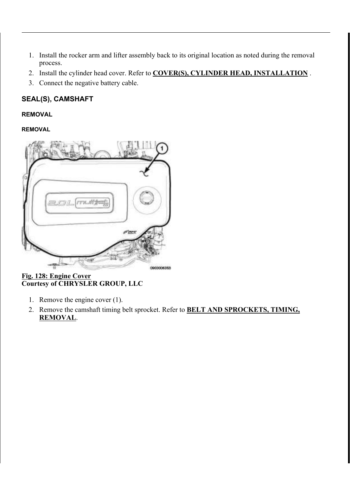- 1. Install the rocker arm and lifter assembly back to its original location as noted during the removal process.
- 2. Install the cylinder head cover. Refer to **COVER(S), CYLINDER HEAD, INSTALLATION**.
- 3. Connect the negative battery cable.

# SEAL(S), CAMSHAFT

### REMOVAL

### REMOVAL

![](_page_29_Picture_6.jpeg)

### Fig. 128: Engine Cover Courtesy of CHRYSLER GROUP, LLC

- 1. Remove the engine cover (1).
- 2. Remove the camshaft timing belt sprocket. Refer to **BELT AND SPROCKETS, TIMING**, REMOVAL.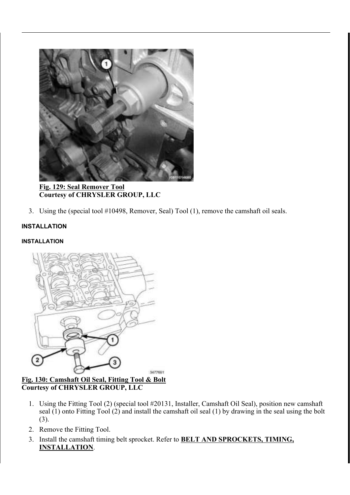![](_page_30_Picture_0.jpeg)

Fig. 129: Seal Remover Tool Courtesy of CHRYSLER GROUP, LLC

3. Using the (special tool #10498, Remover, Seal) Tool (1), remove the camshaft oil seals.

### INSTALLATION

### INSTALLATION

![](_page_30_Figure_5.jpeg)

### Fig. 130: Camshaft Oil Seal, Fitting Tool & Bolt Courtesy of CHRYSLER GROUP, LLC

- 1. Using the Fitting Tool (2) (special tool #20131, Installer, Camshaft Oil Seal), position new camshaft seal (1) onto Fitting Tool (2) and install the camshaft oil seal (1) by drawing in the seal using the bolt (3).
- 2. Remove the Fitting Tool.
- 3. Install the camshaft timing belt sprocket. Refer to BELT AND SPROCKETS, TIMING, INSTALLATION.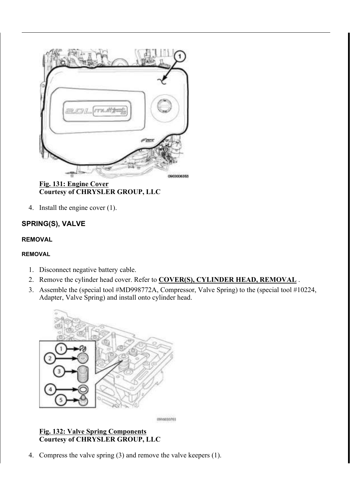![](_page_31_Picture_0.jpeg)

Fig. 131: Engine Cover Courtesy of CHRYSLER GROUP, LLC

4. Install the engine cover (1).

# SPRING(S), VALVE

### REMOVAL

### REMOVAL

- 1. Disconnect negative battery cable.
- 2. Remove the cylinder head cover. Refer to COVER(S), CYLINDER HEAD, REMOVAL .
- 3. Assemble the (special tool #MD998772A, Compressor, Valve Spring) to the (special tool #10224, Adapter, Valve Spring) and install onto cylinder head.

![](_page_31_Picture_9.jpeg)

0956030703

### Fig. 132: Valve Spring Components Courtesy of CHRYSLER GROUP, LLC

4. Compress the valve spring (3) and remove the valve keepers (1).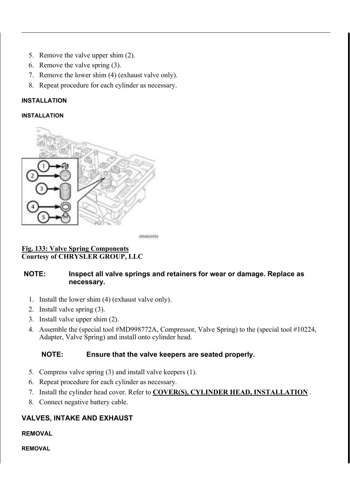- 5. Remove the valve upper shim (2).
- 6. Remove the valve spring (3).
- 7. Remove the lower shim (4) (exhaust valve only).
- 8. Repeat procedure for each cylinder as necessary.

#### INSTALLATION

#### INSTALLATION

![](_page_32_Picture_6.jpeg)

0956030703

### Fig. 133: Valve Spring Components Courtesy of CHRYSLER GROUP, LLC

### NOTE: Inspect all valve springs and retainers for wear or damage. Replace as necessary.

- 1. Install the lower shim (4) (exhaust valve only).
- 2. Install valve spring (3).
- 3. Install valve upper shim (2).
- 4. Assemble the (special tool #MD998772A, Compressor, Valve Spring) to the (special tool #10224, Adapter, Valve Spring) and install onto cylinder head.

### NOTE: Ensure that the valve keepers are seated properly.

- 5. Compress valve spring (3) and install valve keepers (1).
- 6. Repeat procedure for each cylinder as necessary.
- 7. Install the cylinder head cover. Refer to **COVER(S), CYLINDER HEAD, INSTALLATION**.
- 8. Connect negative battery cable.

# VALVES, INTAKE AND EXHAUST

#### REMOVAL

#### **REMOVAL**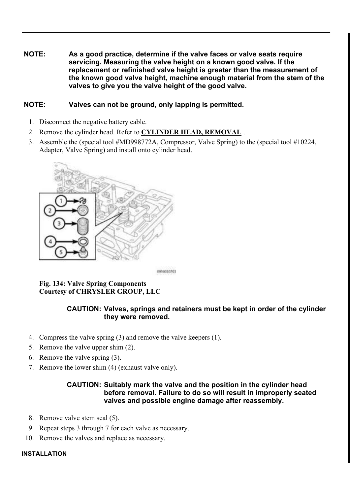NOTE: As a good practice, determine if the valve faces or valve seats require servicing. Measuring the valve height on a known good valve. If the replacement or refinished valve height is greater than the measurement of the known good valve height, machine enough material from the stem of the valves to give you the valve height of the good valve.

### NOTE: Valves can not be ground, only lapping is permitted.

- 1. Disconnect the negative battery cable.
- 2. Remove the cylinder head. Refer to CYLINDER HEAD, REMOVAL .
- 3. Assemble the (special tool #MD998772A, Compressor, Valve Spring) to the (special tool #10224, Adapter, Valve Spring) and install onto cylinder head.

![](_page_33_Picture_5.jpeg)

0956030703

### Fig. 134: Valve Spring Components Courtesy of CHRYSLER GROUP, LLC

### CAUTION: Valves, springs and retainers must be kept in order of the cylinder they were removed.

- 4. Compress the valve spring (3) and remove the valve keepers (1).
- 5. Remove the valve upper shim (2).
- 6. Remove the valve spring (3).
- 7. Remove the lower shim (4) (exhaust valve only).

### CAUTION: Suitably mark the valve and the position in the cylinder head before removal. Failure to do so will result in improperly seated valves and possible engine damage after reassembly.

- 8. Remove valve stem seal (5).
- 9. Repeat steps 3 through 7 for each valve as necessary.
- 10. Remove the valves and replace as necessary.

# INSTALLATION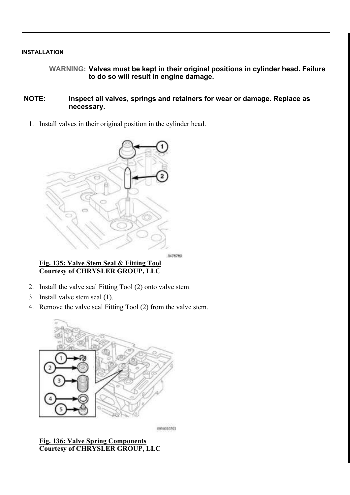#### INSTALLATION

WARNING: Valves must be kept in their original positions in cylinder head. Failure to do so will result in engine damage.

### NOTE: Inspect all valves, springs and retainers for wear or damage. Replace as necessary.

1. Install valves in their original position in the cylinder head.

![](_page_34_Picture_4.jpeg)

5478789

#### Fig. 135: Valve Stem Seal & Fitting Tool Courtesy of CHRYSLER GROUP, LLC

- 2. Install the valve seal Fitting Tool (2) onto valve stem.
- 3. Install valve stem seal (1).
- 4. Remove the valve seal Fitting Tool (2) from the valve stem.

![](_page_34_Figure_10.jpeg)

0956030703

Fig. 136: Valve Spring Components Courtesy of CHRYSLER GROUP, LLC